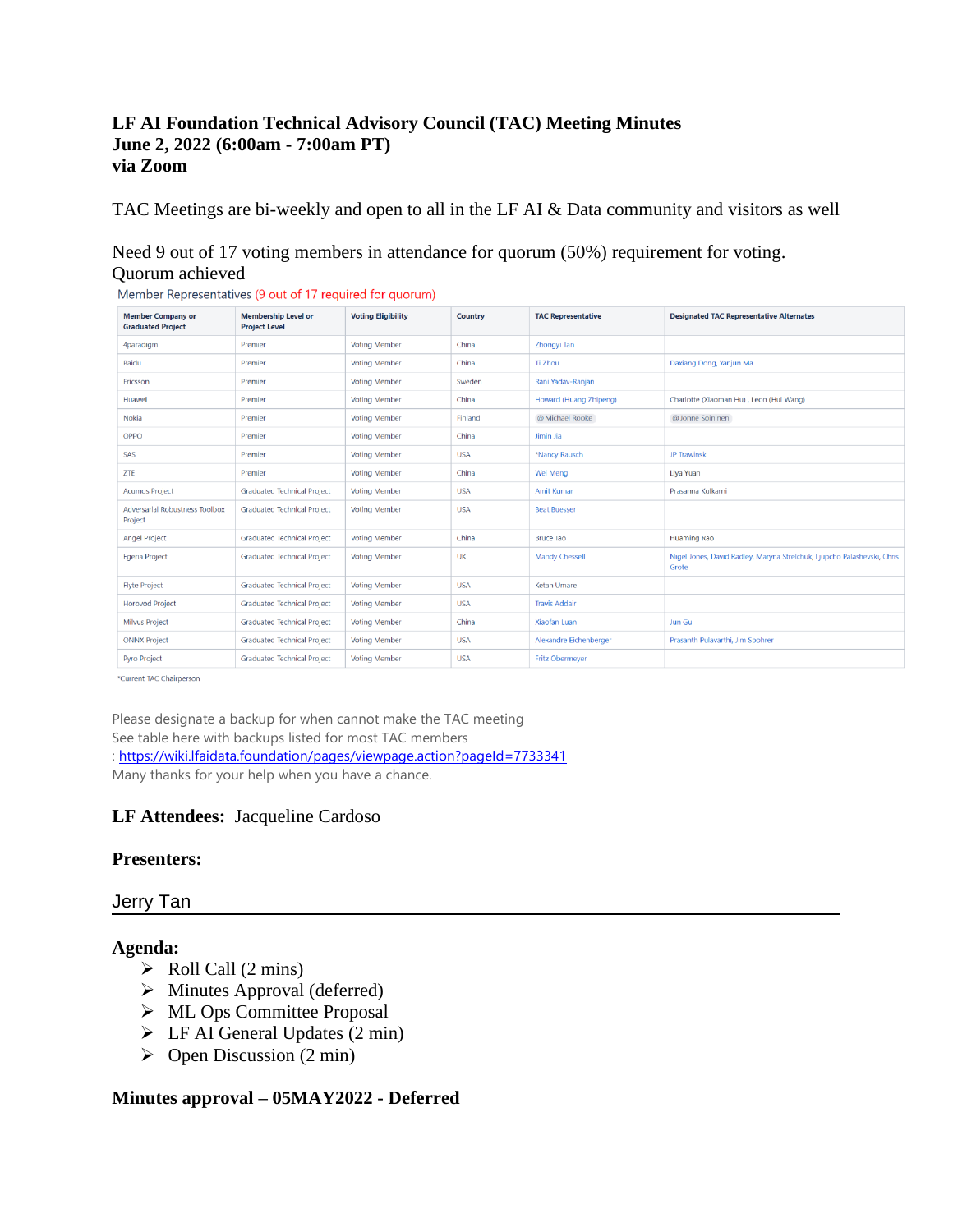# **LF AI Foundation Technical Advisory Council (TAC) Meeting Minutes June 2, 2022 (6:00am - 7:00am PT) via Zoom**

TAC Meetings are bi-weekly and open to all in the LF AI & Data community and visitors as well

# Need 9 out of 17 voting members in attendance for quorum (50%) requirement for voting. Quorum achieved

| <b>Member Company or</b><br><b>Graduated Project</b> | <b>Membership Level or</b><br><b>Project Level</b> | <b>Voting Eligibility</b> | Country    | <b>TAC Representative</b> | <b>Designated TAC Representative Alternates</b>                                  |
|------------------------------------------------------|----------------------------------------------------|---------------------------|------------|---------------------------|----------------------------------------------------------------------------------|
| 4paradigm                                            | Premier                                            | <b>Voting Member</b>      | China      | Zhongyi Tan               |                                                                                  |
| Baidu                                                | Premier                                            | <b>Voting Member</b>      | China      | <b>Ti Zhou</b>            | Daxiang Dong, Yanjun Ma                                                          |
| Ericsson                                             | Premier                                            | <b>Voting Member</b>      | Sweden     | Rani Yadav-Ranjan         |                                                                                  |
| Huawei                                               | Premier                                            | <b>Voting Member</b>      | China      | Howard (Huang Zhipeng)    | Charlotte (Xiaoman Hu), Leon (Hui Wang)                                          |
| Nokia                                                | Premier                                            | <b>Voting Member</b>      | Finland    | @ Michael Rooke           | @ Jonne Soininen                                                                 |
| OPPO                                                 | Premier                                            | <b>Voting Member</b>      | China      | Jimin Jia                 |                                                                                  |
| SAS                                                  | Premier                                            | <b>Voting Member</b>      | <b>USA</b> | *Nancy Rausch             | JP Trawinski                                                                     |
| ZTE                                                  | Premier                                            | <b>Voting Member</b>      | China      | Wei Meng                  | Liva Yuan                                                                        |
| <b>Acumos Project</b>                                | <b>Graduated Technical Project</b>                 | <b>Voting Member</b>      | <b>USA</b> | <b>Amit Kumar</b>         | Prasanna Kulkarni                                                                |
| Adversarial Robustness Toolbox<br>Project            | <b>Graduated Technical Project</b>                 | <b>Voting Member</b>      | <b>USA</b> | <b>Beat Buesser</b>       |                                                                                  |
| <b>Angel Project</b>                                 | <b>Graduated Technical Project</b>                 | <b>Voting Member</b>      | China      | <b>Bruce Tao</b>          | Huaming Rao                                                                      |
| Egeria Project                                       | <b>Graduated Technical Project</b>                 | <b>Voting Member</b>      | UK         | <b>Mandy Chessell</b>     | Nigel Jones, David Radley, Maryna Strelchuk, Ljupcho Palashevski, Chris<br>Grote |
| <b>Flyte Project</b>                                 | <b>Graduated Technical Project</b>                 | <b>Voting Member</b>      | <b>USA</b> | Ketan Umare               |                                                                                  |
| <b>Horovod Project</b>                               | <b>Graduated Technical Project</b>                 | <b>Voting Member</b>      | <b>USA</b> | <b>Travis Addair</b>      |                                                                                  |
| <b>Milvus Project</b>                                | <b>Graduated Technical Project</b>                 | <b>Voting Member</b>      | China      | <b>Xiaofan Luan</b>       | Jun Gu                                                                           |
| <b>ONNX Project</b>                                  | <b>Graduated Technical Project</b>                 | <b>Voting Member</b>      | <b>USA</b> | Alexandre Eichenberger    | Prasanth Pulavarthi, Jim Spohrer                                                 |
| Pyro Project                                         | <b>Graduated Technical Project</b>                 | <b>Voting Member</b>      | <b>USA</b> | <b>Fritz Obermeyer</b>    |                                                                                  |

Member Representatives (9 out of 17 required for quorum)

\*Current TAC Chairperson

Please designate a backup for when cannot make the TAC meeting See table here with backups listed for most TAC members :<https://wiki.lfaidata.foundation/pages/viewpage.action?pageId=7733341> Many thanks for your help when you have a chance.

# **LF Attendees:** Jacqueline Cardoso

## **Presenters:**

## Jerry Tan

## **Agenda:**

- $\triangleright$  Roll Call (2 mins)
- ➢ Minutes Approval (deferred)
- ➢ ML Ops Committee Proposal
- $\triangleright$  LF AI General Updates (2 min)
- $\triangleright$  Open Discussion (2 min)

## **Minutes approval – 05MAY2022 - Deferred**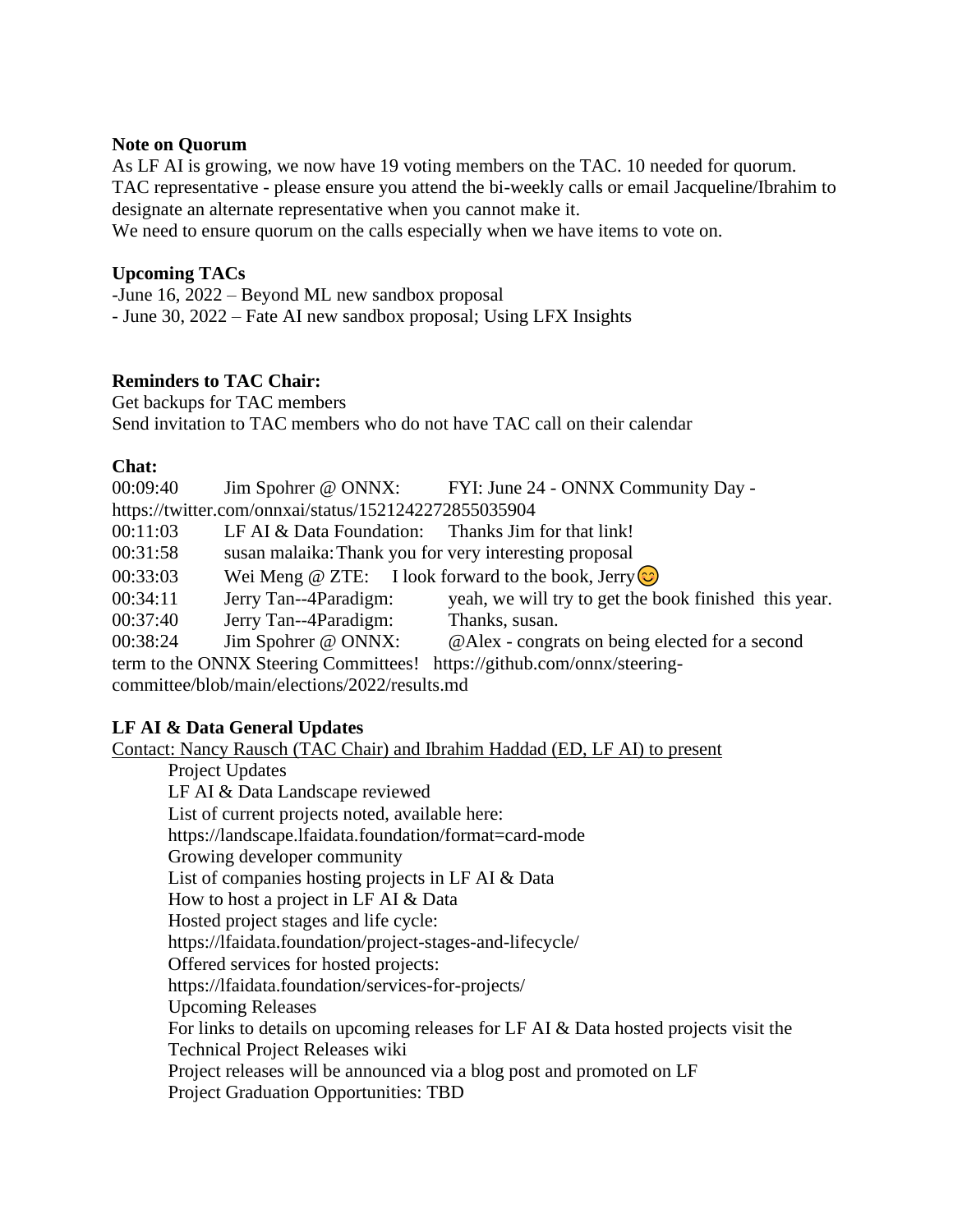## **Note on Quorum**

As LF AI is growing, we now have 19 voting members on the TAC. 10 needed for quorum. TAC representative - please ensure you attend the bi-weekly calls or email Jacqueline/Ibrahim to designate an alternate representative when you cannot make it.

We need to ensure quorum on the calls especially when we have items to vote on.

#### **Upcoming TACs**

-June 16, 2022 – Beyond ML new sandbox proposal - June 30, 2022 – Fate AI new sandbox proposal; Using LFX Insights

## **Reminders to TAC Chair:**

Get backups for TAC members Send invitation to TAC members who do not have TAC call on their calendar

## **Chat:**

| 00:09:40                                              |                                                        | Jim Spohrer @ ONNX: FYI: June 24 - ONNX Community Day -   |  |  |  |
|-------------------------------------------------------|--------------------------------------------------------|-----------------------------------------------------------|--|--|--|
| https://twitter.com/onnxai/status/1521242272855035904 |                                                        |                                                           |  |  |  |
| 00:11:03                                              | LF AI & Data Foundation: Thanks Jim for that link!     |                                                           |  |  |  |
| 00:31:58                                              | susan malaika: Thank you for very interesting proposal |                                                           |  |  |  |
| 00:33:03                                              |                                                        | Wei Meng @ ZTE: I look forward to the book, Jerry $\odot$ |  |  |  |
| 00:34:11                                              | Jerry Tan--4Paradigm:                                  | yeah, we will try to get the book finished this year.     |  |  |  |
| 00:37:40                                              | Jerry Tan--4Paradigm:                                  | Thanks, susan.                                            |  |  |  |
| 00:38:24                                              | Jim Spohrer @ ONNX:                                    | @Alex - congrats on being elected for a second            |  |  |  |
|                                                       | term to the ONNX Steering Committees!                  | https://github.com/onnx/steering-                         |  |  |  |

committee/blob/main/elections/2022/results.md

# **LF AI & Data General Updates**

Contact: Nancy Rausch (TAC Chair) and Ibrahim Haddad (ED, LF AI) to present

Project Updates

LF AI & Data Landscape reviewed List of current projects noted, available here: https://landscape.lfaidata.foundation/format=card-mode Growing developer community List of companies hosting projects in LF AI & Data How to host a project in LF AI & Data Hosted project stages and life cycle: https://lfaidata.foundation/project-stages-and-lifecycle/ Offered services for hosted projects: https://lfaidata.foundation/services-for-projects/ Upcoming Releases For links to details on upcoming releases for LF AI & Data hosted projects visit the Technical Project Releases wiki Project releases will be announced via a blog post and promoted on LF Project Graduation Opportunities: TBD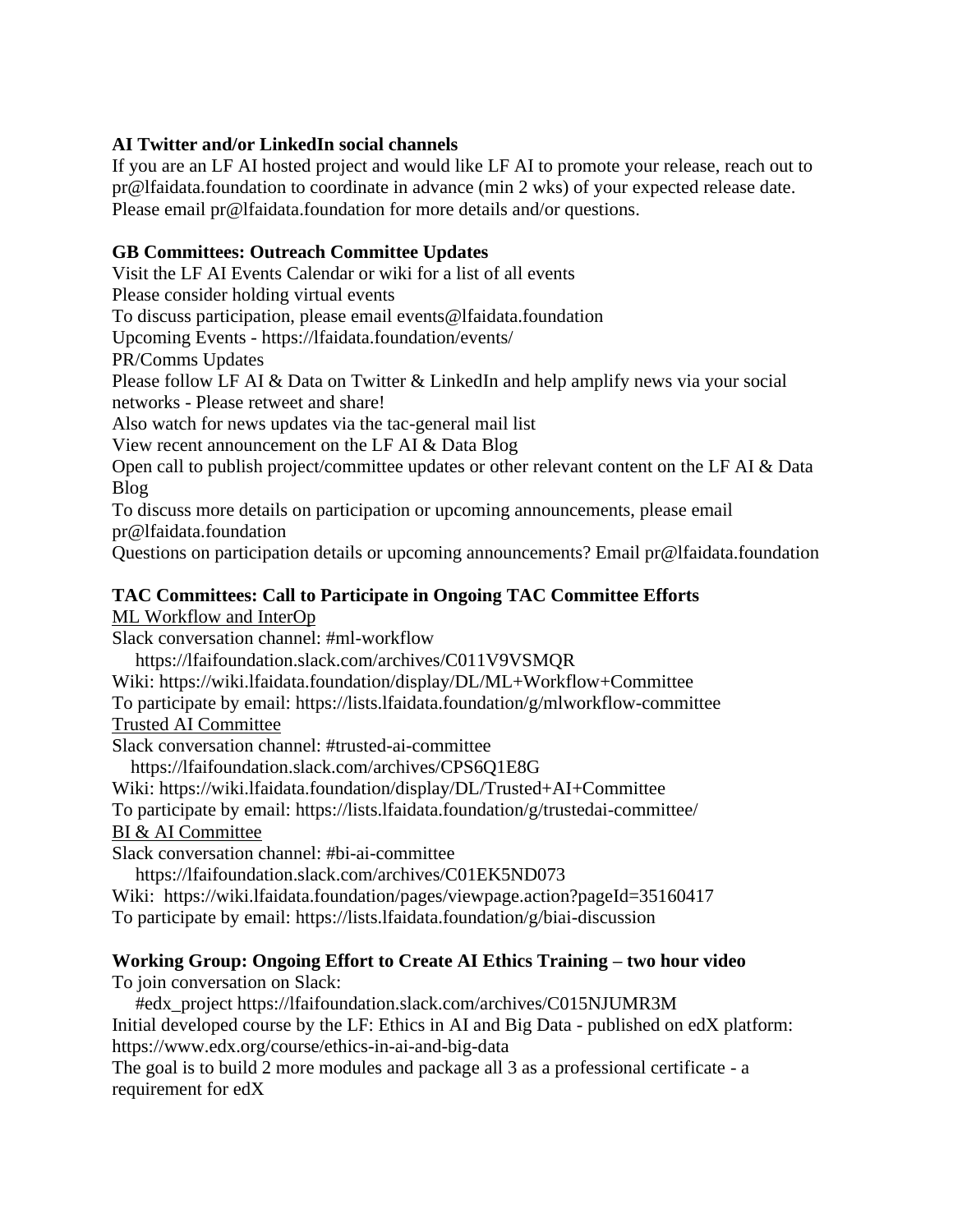# **AI Twitter and/or LinkedIn social channels**

If you are an LF AI hosted project and would like LF AI to promote your release, reach out to pr@lfaidata.foundation to coordinate in advance (min 2 wks) of your expected release date. Please email pr@lfaidata.foundation for more details and/or questions.

# **GB Committees: Outreach Committee Updates**

Visit the LF AI Events Calendar or wiki for a list of all events Please consider holding virtual events To discuss participation, please email events@lfaidata.foundation Upcoming Events - https://lfaidata.foundation/events/ PR/Comms Updates Please follow LF AI & Data on Twitter & LinkedIn and help amplify news via your social networks - Please retweet and share! Also watch for news updates via the tac-general mail list View recent announcement on the LF AI & Data Blog Open call to publish project/committee updates or other relevant content on the LF AI & Data Blog To discuss more details on participation or upcoming announcements, please email pr@lfaidata.foundation Questions on participation details or upcoming announcements? Email pr@lfaidata.foundation

# **TAC Committees: Call to Participate in Ongoing TAC Committee Efforts**

ML Workflow and InterOp

Slack conversation channel: #ml-workflow

https://lfaifoundation.slack.com/archives/C011V9VSMQR

Wiki: https://wiki.lfaidata.foundation/display/DL/ML+Workflow+Committee

To participate by email: https://lists.lfaidata.foundation/g/mlworkflow-committee

Trusted AI Committee

Slack conversation channel: #trusted-ai-committee

https://lfaifoundation.slack.com/archives/CPS6Q1E8G

Wiki: https://wiki.lfaidata.foundation/display/DL/Trusted+AI+Committee

To participate by email: https://lists.lfaidata.foundation/g/trustedai-committee/ BI & AI Committee

Slack conversation channel: #bi-ai-committee

https://lfaifoundation.slack.com/archives/C01EK5ND073

Wiki: https://wiki.lfaidata.foundation/pages/viewpage.action?pageId=35160417

To participate by email: https://lists.lfaidata.foundation/g/biai-discussion

# **Working Group: Ongoing Effort to Create AI Ethics Training – two hour video**

To join conversation on Slack:

 #edx\_project https://lfaifoundation.slack.com/archives/C015NJUMR3M Initial developed course by the LF: Ethics in AI and Big Data - published on edX platform: https://www.edx.org/course/ethics-in-ai-and-big-data

The goal is to build 2 more modules and package all 3 as a professional certificate - a requirement for edX